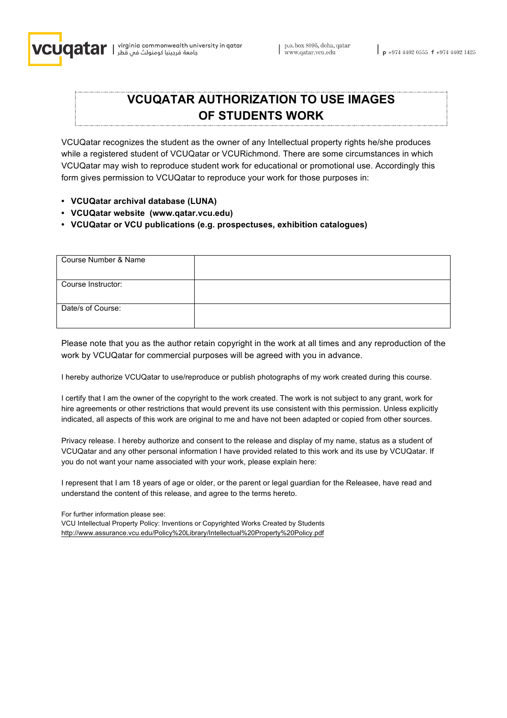

## **VCUQATAR AUTHORIZATION TO USE IMAGES OF STUDENTS WORK**

VCUQatar recognizes the student as the owner of any Intellectual property rights he/she produces while a registered student of VCUQatar or VCURichmond. There are some circumstances in which VCUQatar may wish to reproduce student work for educational or promotional use. Accordingly this form gives permission to VCUQatar to reproduce your work for those purposes in:

- **• VCUQatar archival database (LUNA)**
- **• VCUQatar website (www.qatar.vcu.edu)**
- **• VCUQatar or VCU publications (e.g. prospectuses, exhibition catalogues)**

| Course Number & Name |  |
|----------------------|--|
|                      |  |
| Course Instructor:   |  |
|                      |  |
| Date/s of Course:    |  |
|                      |  |

Please note that you as the author retain copyright in the work at all times and any reproduction of the work by VCUQatar for commercial purposes will be agreed with you in advance.

I hereby authorize VCUQatar to use/reproduce or publish photographs of my work created during this course.

I certify that I am the owner of the copyright to the work created. The work is not subject to any grant, work for hire agreements or other restrictions that would prevent its use consistent with this permission. Unless explicitly indicated, all aspects of this work are original to me and have not been adapted or copied from other sources.

Privacy release. I hereby authorize and consent to the release and display of my name, status as a student of VCUQatar and any other personal information I have provided related to this work and its use by VCUQatar. If you do not want your name associated with your work, please explain here:

I represent that I am 18 years of age or older, or the parent or legal guardian for the Releasee, have read and understand the content of this release, and agree to the terms hereto.

For further information please see:

VCU Intellectual Property Policy: Inventions or Copyrighted Works Created by Students http://www.assurance.vcu.edu/Policy%20Library/Intellectual%20Property%20Policy.pdf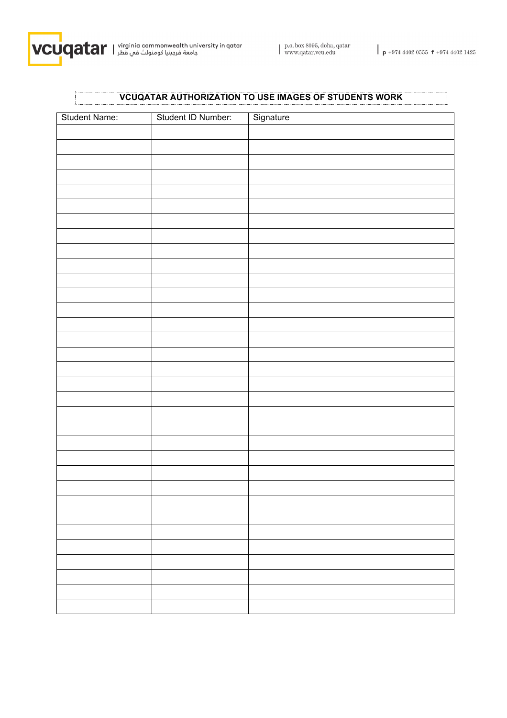

 $\mathbf{r}$ 

L

## **VCUQATAR AUTHORIZATION TO USE IMAGES OF STUDENTS WORK**

| Student Name: | Student ID Number: | Signature |
|---------------|--------------------|-----------|
|               |                    |           |
|               |                    |           |
|               |                    |           |
|               |                    |           |
|               |                    |           |
|               |                    |           |
|               |                    |           |
|               |                    |           |
|               |                    |           |
|               |                    |           |
|               |                    |           |
|               |                    |           |
|               |                    |           |
|               |                    |           |
|               |                    |           |
|               |                    |           |
|               |                    |           |
|               |                    |           |
|               |                    |           |
|               |                    |           |
|               |                    |           |
|               |                    |           |
|               |                    |           |
|               |                    |           |
|               |                    |           |
|               |                    |           |
|               |                    |           |
|               |                    |           |
|               |                    |           |
|               |                    |           |
|               |                    |           |
|               |                    |           |
|               |                    |           |